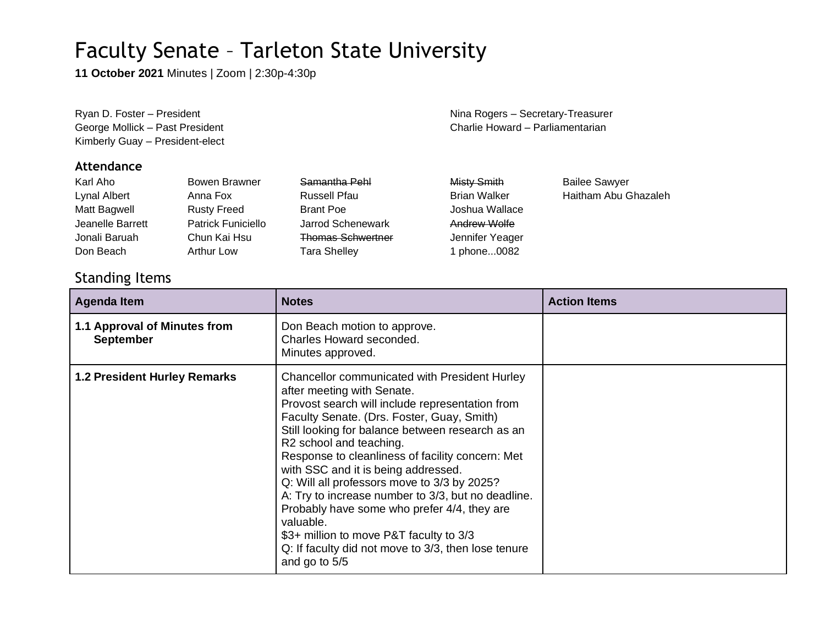**11 October 2021** Minutes | Zoom | 2:30p-4:30p

Kimberly Guay – President-elect

#### **Attendance**

| Karl Aho         | Bowen Brawner             | Samantha Pehl            | <b>Misty Smith</b>  | <b>Bailee Sawyer</b> |
|------------------|---------------------------|--------------------------|---------------------|----------------------|
| Lynal Albert     | Anna Fox                  | <b>Russell Pfau</b>      | <b>Brian Walker</b> | Haitham Abu Ghazaleh |
| Matt Bagwell     | <b>Rusty Freed</b>        | <b>Brant Poe</b>         | Joshua Wallace      |                      |
| Jeanelle Barrett | <b>Patrick Funiciello</b> | Jarrod Schenewark        | Andrew Wolfe        |                      |
| Jonali Baruah    | Chun Kai Hsu              | <b>Thomas Schwertner</b> | Jennifer Yeager     |                      |
| Don Beach        | <b>Arthur Low</b>         | <b>Tara Shelley</b>      | phone0082           |                      |
|                  |                           |                          |                     |                      |

### Standing Items

| <b>Agenda Item</b>                               | <b>Notes</b>                                                                                                                                                                                                                                                                                                                                                                                                                                                                                                                                                                                                                               | <b>Action Items</b> |
|--------------------------------------------------|--------------------------------------------------------------------------------------------------------------------------------------------------------------------------------------------------------------------------------------------------------------------------------------------------------------------------------------------------------------------------------------------------------------------------------------------------------------------------------------------------------------------------------------------------------------------------------------------------------------------------------------------|---------------------|
| 1.1 Approval of Minutes from<br><b>September</b> | Don Beach motion to approve.<br>Charles Howard seconded.<br>Minutes approved.                                                                                                                                                                                                                                                                                                                                                                                                                                                                                                                                                              |                     |
| <b>1.2 President Hurley Remarks</b>              | Chancellor communicated with President Hurley<br>after meeting with Senate.<br>Provost search will include representation from<br>Faculty Senate. (Drs. Foster, Guay, Smith)<br>Still looking for balance between research as an<br>R2 school and teaching.<br>Response to cleanliness of facility concern: Met<br>with SSC and it is being addressed.<br>Q: Will all professors move to 3/3 by 2025?<br>A: Try to increase number to 3/3, but no deadline.<br>Probably have some who prefer 4/4, they are<br>valuable.<br>\$3+ million to move P&T faculty to 3/3<br>Q: If faculty did not move to 3/3, then lose tenure<br>and go to 5/5 |                     |

Ryan D. Foster – President Nina Rogers – Secretary-Treasurer George Mollick – Past President Charlie Howard – Parliamentarian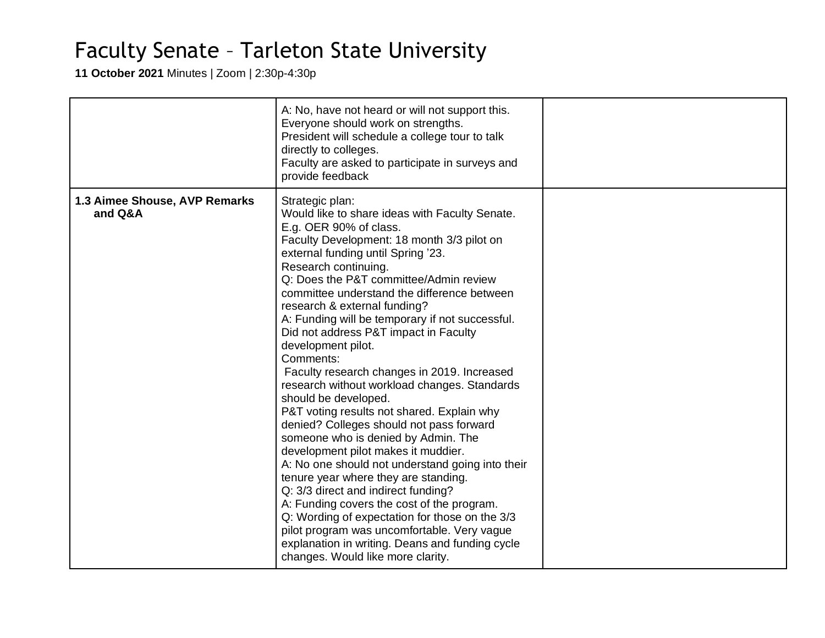**11 October 2021** Minutes | Zoom | 2:30p-4:30p

|                                          | A: No, have not heard or will not support this.<br>Everyone should work on strengths.<br>President will schedule a college tour to talk<br>directly to colleges.<br>Faculty are asked to participate in surveys and<br>provide feedback                                                                                                                                                                                                                                                                                                                                                                                                                                                                                                                                                                                                                                                                                                                                                                                                                                                                                                  |  |
|------------------------------------------|------------------------------------------------------------------------------------------------------------------------------------------------------------------------------------------------------------------------------------------------------------------------------------------------------------------------------------------------------------------------------------------------------------------------------------------------------------------------------------------------------------------------------------------------------------------------------------------------------------------------------------------------------------------------------------------------------------------------------------------------------------------------------------------------------------------------------------------------------------------------------------------------------------------------------------------------------------------------------------------------------------------------------------------------------------------------------------------------------------------------------------------|--|
| 1.3 Aimee Shouse, AVP Remarks<br>and Q&A | Strategic plan:<br>Would like to share ideas with Faculty Senate.<br>E.g. OER 90% of class.<br>Faculty Development: 18 month 3/3 pilot on<br>external funding until Spring '23.<br>Research continuing.<br>Q: Does the P&T committee/Admin review<br>committee understand the difference between<br>research & external funding?<br>A: Funding will be temporary if not successful.<br>Did not address P&T impact in Faculty<br>development pilot.<br>Comments:<br>Faculty research changes in 2019. Increased<br>research without workload changes. Standards<br>should be developed.<br>P&T voting results not shared. Explain why<br>denied? Colleges should not pass forward<br>someone who is denied by Admin. The<br>development pilot makes it muddier.<br>A: No one should not understand going into their<br>tenure year where they are standing.<br>Q: 3/3 direct and indirect funding?<br>A: Funding covers the cost of the program.<br>Q: Wording of expectation for those on the 3/3<br>pilot program was uncomfortable. Very vague<br>explanation in writing. Deans and funding cycle<br>changes. Would like more clarity. |  |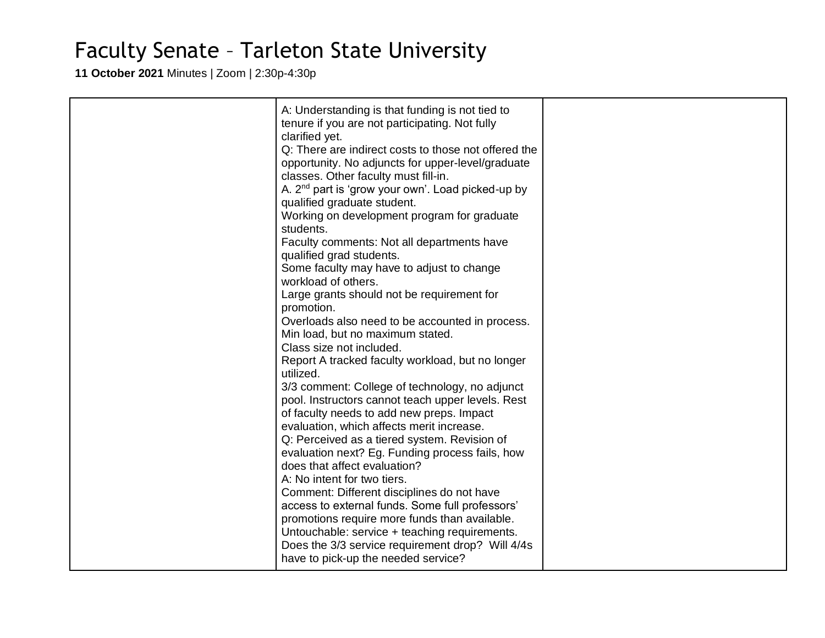**11 October 2021** Minutes | Zoom | 2:30p-4:30p

| A: Understanding is that funding is not tied to<br>tenure if you are not participating. Not fully<br>clarified yet.<br>Q: There are indirect costs to those not offered the<br>opportunity. No adjuncts for upper-level/graduate<br>classes. Other faculty must fill-in.<br>A. 2 <sup>nd</sup> part is 'grow your own'. Load picked-up by<br>qualified graduate student.<br>Working on development program for graduate<br>students.<br>Faculty comments: Not all departments have<br>qualified grad students.<br>Some faculty may have to adjust to change<br>workload of others.<br>Large grants should not be requirement for<br>promotion.<br>Overloads also need to be accounted in process.<br>Min load, but no maximum stated.<br>Class size not included.<br>Report A tracked faculty workload, but no longer<br>utilized.<br>3/3 comment: College of technology, no adjunct<br>pool. Instructors cannot teach upper levels. Rest |  |
|-------------------------------------------------------------------------------------------------------------------------------------------------------------------------------------------------------------------------------------------------------------------------------------------------------------------------------------------------------------------------------------------------------------------------------------------------------------------------------------------------------------------------------------------------------------------------------------------------------------------------------------------------------------------------------------------------------------------------------------------------------------------------------------------------------------------------------------------------------------------------------------------------------------------------------------------|--|
|                                                                                                                                                                                                                                                                                                                                                                                                                                                                                                                                                                                                                                                                                                                                                                                                                                                                                                                                           |  |
|                                                                                                                                                                                                                                                                                                                                                                                                                                                                                                                                                                                                                                                                                                                                                                                                                                                                                                                                           |  |
|                                                                                                                                                                                                                                                                                                                                                                                                                                                                                                                                                                                                                                                                                                                                                                                                                                                                                                                                           |  |
|                                                                                                                                                                                                                                                                                                                                                                                                                                                                                                                                                                                                                                                                                                                                                                                                                                                                                                                                           |  |
|                                                                                                                                                                                                                                                                                                                                                                                                                                                                                                                                                                                                                                                                                                                                                                                                                                                                                                                                           |  |
|                                                                                                                                                                                                                                                                                                                                                                                                                                                                                                                                                                                                                                                                                                                                                                                                                                                                                                                                           |  |
|                                                                                                                                                                                                                                                                                                                                                                                                                                                                                                                                                                                                                                                                                                                                                                                                                                                                                                                                           |  |
|                                                                                                                                                                                                                                                                                                                                                                                                                                                                                                                                                                                                                                                                                                                                                                                                                                                                                                                                           |  |
|                                                                                                                                                                                                                                                                                                                                                                                                                                                                                                                                                                                                                                                                                                                                                                                                                                                                                                                                           |  |
|                                                                                                                                                                                                                                                                                                                                                                                                                                                                                                                                                                                                                                                                                                                                                                                                                                                                                                                                           |  |
| of faculty needs to add new preps. Impact                                                                                                                                                                                                                                                                                                                                                                                                                                                                                                                                                                                                                                                                                                                                                                                                                                                                                                 |  |
| evaluation, which affects merit increase.                                                                                                                                                                                                                                                                                                                                                                                                                                                                                                                                                                                                                                                                                                                                                                                                                                                                                                 |  |
| Q: Perceived as a tiered system. Revision of                                                                                                                                                                                                                                                                                                                                                                                                                                                                                                                                                                                                                                                                                                                                                                                                                                                                                              |  |
| evaluation next? Eg. Funding process fails, how<br>does that affect evaluation?                                                                                                                                                                                                                                                                                                                                                                                                                                                                                                                                                                                                                                                                                                                                                                                                                                                           |  |
| A: No intent for two tiers.                                                                                                                                                                                                                                                                                                                                                                                                                                                                                                                                                                                                                                                                                                                                                                                                                                                                                                               |  |
| Comment: Different disciplines do not have                                                                                                                                                                                                                                                                                                                                                                                                                                                                                                                                                                                                                                                                                                                                                                                                                                                                                                |  |
| access to external funds. Some full professors'                                                                                                                                                                                                                                                                                                                                                                                                                                                                                                                                                                                                                                                                                                                                                                                                                                                                                           |  |
| promotions require more funds than available.                                                                                                                                                                                                                                                                                                                                                                                                                                                                                                                                                                                                                                                                                                                                                                                                                                                                                             |  |
| Untouchable: service + teaching requirements.                                                                                                                                                                                                                                                                                                                                                                                                                                                                                                                                                                                                                                                                                                                                                                                                                                                                                             |  |
| Does the 3/3 service requirement drop? Will 4/4s                                                                                                                                                                                                                                                                                                                                                                                                                                                                                                                                                                                                                                                                                                                                                                                                                                                                                          |  |
| have to pick-up the needed service?                                                                                                                                                                                                                                                                                                                                                                                                                                                                                                                                                                                                                                                                                                                                                                                                                                                                                                       |  |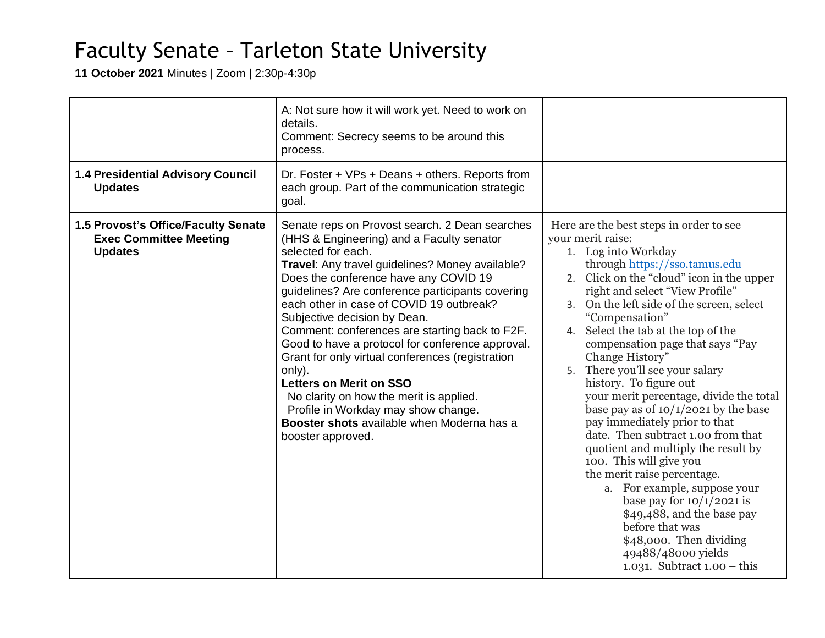**11 October 2021** Minutes | Zoom | 2:30p-4:30p

| <b>1.4 Presidential Advisory Council</b>                                               | A: Not sure how it will work yet. Need to work on<br>details.<br>Comment: Secrecy seems to be around this<br>process.<br>Dr. Foster + VPs + Deans + others. Reports from                                                                                                                                                                                                                                                                                                                                                                                                                                                                                                                                 |                                                                                                                                                                                                                                                                                                                                                                                                                                                                                                                                                                                                                                                                                                                                                                                                                                                                                               |
|----------------------------------------------------------------------------------------|----------------------------------------------------------------------------------------------------------------------------------------------------------------------------------------------------------------------------------------------------------------------------------------------------------------------------------------------------------------------------------------------------------------------------------------------------------------------------------------------------------------------------------------------------------------------------------------------------------------------------------------------------------------------------------------------------------|-----------------------------------------------------------------------------------------------------------------------------------------------------------------------------------------------------------------------------------------------------------------------------------------------------------------------------------------------------------------------------------------------------------------------------------------------------------------------------------------------------------------------------------------------------------------------------------------------------------------------------------------------------------------------------------------------------------------------------------------------------------------------------------------------------------------------------------------------------------------------------------------------|
| <b>Updates</b>                                                                         | each group. Part of the communication strategic<br>goal.                                                                                                                                                                                                                                                                                                                                                                                                                                                                                                                                                                                                                                                 |                                                                                                                                                                                                                                                                                                                                                                                                                                                                                                                                                                                                                                                                                                                                                                                                                                                                                               |
| 1.5 Provost's Office/Faculty Senate<br><b>Exec Committee Meeting</b><br><b>Updates</b> | Senate reps on Provost search. 2 Dean searches<br>(HHS & Engineering) and a Faculty senator<br>selected for each.<br>Travel: Any travel guidelines? Money available?<br>Does the conference have any COVID 19<br>guidelines? Are conference participants covering<br>each other in case of COVID 19 outbreak?<br>Subjective decision by Dean.<br>Comment: conferences are starting back to F2F.<br>Good to have a protocol for conference approval.<br>Grant for only virtual conferences (registration<br>only).<br><b>Letters on Merit on SSO</b><br>No clarity on how the merit is applied.<br>Profile in Workday may show change.<br>Booster shots available when Moderna has a<br>booster approved. | Here are the best steps in order to see<br>your merit raise:<br>1. Log into Workday<br>through https://sso.tamus.edu<br>2. Click on the "cloud" icon in the upper<br>right and select "View Profile"<br>3. On the left side of the screen, select<br>"Compensation"<br>4. Select the tab at the top of the<br>compensation page that says "Pay<br>Change History"<br>5. There you'll see your salary<br>history. To figure out<br>your merit percentage, divide the total<br>base pay as of $10/1/2021$ by the base<br>pay immediately prior to that<br>date. Then subtract 1.00 from that<br>quotient and multiply the result by<br>100. This will give you<br>the merit raise percentage.<br>a. For example, suppose your<br>base pay for $10/1/2021$ is<br>\$49,488, and the base pay<br>before that was<br>\$48,000. Then dividing<br>49488/48000 yields<br>1.031. Subtract $1.00 - this$ |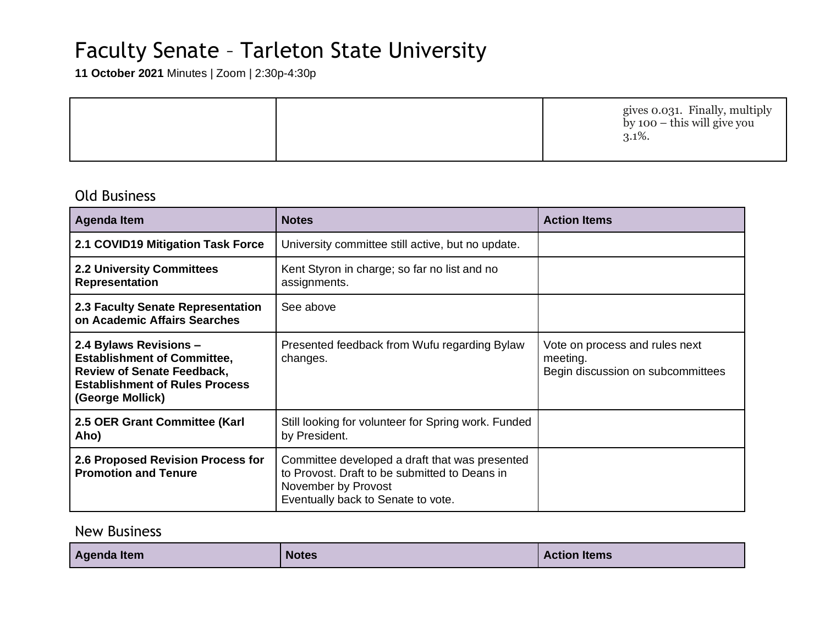**11 October 2021** Minutes | Zoom | 2:30p-4:30p

|  | gives 0.031. Finally, multiply<br>by 100 – this will give you<br>$3.1\%$ . |
|--|----------------------------------------------------------------------------|
|--|----------------------------------------------------------------------------|

### Old Business

| <b>Agenda Item</b>                                                                                                                                             | <b>Notes</b>                                                                                                                                                 | <b>Action Items</b>                                                             |
|----------------------------------------------------------------------------------------------------------------------------------------------------------------|--------------------------------------------------------------------------------------------------------------------------------------------------------------|---------------------------------------------------------------------------------|
| 2.1 COVID19 Mitigation Task Force                                                                                                                              | University committee still active, but no update.                                                                                                            |                                                                                 |
| <b>2.2 University Committees</b><br><b>Representation</b>                                                                                                      | Kent Styron in charge; so far no list and no<br>assignments.                                                                                                 |                                                                                 |
| 2.3 Faculty Senate Representation<br>on Academic Affairs Searches                                                                                              | See above                                                                                                                                                    |                                                                                 |
| 2.4 Bylaws Revisions -<br><b>Establishment of Committee,</b><br><b>Review of Senate Feedback,</b><br><b>Establishment of Rules Process</b><br>(George Mollick) | Presented feedback from Wufu regarding Bylaw<br>changes.                                                                                                     | Vote on process and rules next<br>meeting.<br>Begin discussion on subcommittees |
| 2.5 OER Grant Committee (Karl<br>Aho)                                                                                                                          | Still looking for volunteer for Spring work. Funded<br>by President.                                                                                         |                                                                                 |
| 2.6 Proposed Revision Process for<br><b>Promotion and Tenure</b>                                                                                               | Committee developed a draft that was presented<br>to Provost. Draft to be submitted to Deans in<br>November by Provost<br>Eventually back to Senate to vote. |                                                                                 |

#### New Business

| <b>Agenda Item</b> | <b>Notes</b> | <b>Action</b><br>ltems |
|--------------------|--------------|------------------------|
|--------------------|--------------|------------------------|